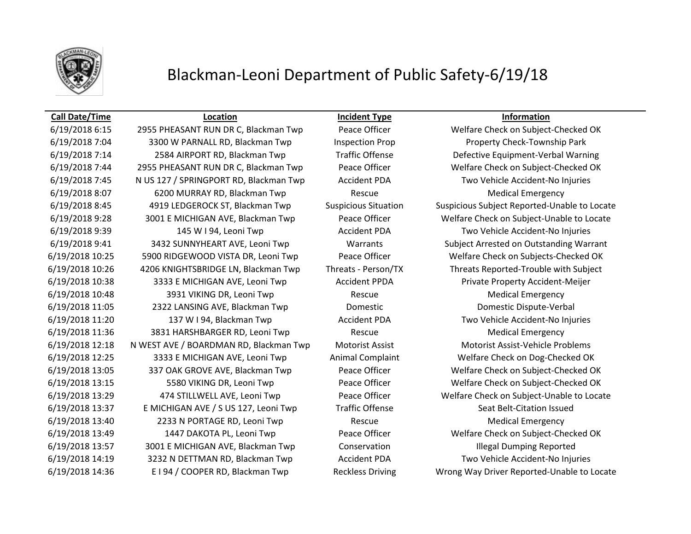

## Blackman-Leoni Department of Public Safety-6/19/18

### **Call Date/Time Location Incident Type Information**

6/19/2018 7:04 3300 W PARNALL RD, Blackman Twp Inspection Prop Property Check-Township Park 6/19/2018 7:14 2584 AIRPORT RD, Blackman Twp Traffic Offense Defective Equipment-Verbal Warning 6/19/2018 7:44 2955 PHEASANT RUN DR C, Blackman Twp Peace Officer Welfare Check on Subject-Checked OK 6/19/2018 7:45 N US 127 / SPRINGPORT RD, Blackman Twp Accident PDA Two Vehicle Accident-No Injuries 6/19/2018 8:07 6200 MURRAY RD, Blackman Twp Rescue Medical Emergency 6/19/2018 9:28 3001 E MICHIGAN AVE, Blackman Twp Peace Officer Welfare Check on Subject-Unable to Locate 6/19/2018 9:39 145 W I 94, Leoni Twp Accident PDA Two Vehicle Accident-No Injuries 6/19/2018 9:41 3432 SUNNYHEART AVE, Leoni Twp Warrants Subject Arrested on Outstanding Warrant 6/19/2018 10:25 5900 RIDGEWOOD VISTA DR, Leoni Twp Peace Officer Welfare Check on Subjects-Checked OK 6/19/2018 10:26 4206 KNIGHTSBRIDGE LN, Blackman Twp Threats - Person/TX Threats Reported-Trouble with Subject 6/19/2018 10:38 3333 E MICHIGAN AVE, Leoni Twp Accident PPDA Private Property Accident-Meijer 6/19/2018 10:48 3931 VIKING DR, Leoni Twp Rescue Rescue Medical Emergency 6/19/2018 11:05 2322 LANSING AVE, Blackman Twp Domestic Domestic Dispute-Verbal 6/19/2018 11:20 137 W I 94, Blackman Twp Accident PDA Two Vehicle Accident-No Injuries 6/19/2018 11:36 3831 HARSHBARGER RD, Leoni Twp Rescue Rescue Medical Emergency 6/19/2018 12:18 N WEST AVE / BOARDMAN RD, Blackman Twp Motorist Assist Motorist Assist-Vehicle Problems 6/19/2018 12:25 3333 E MICHIGAN AVE, Leoni Twp Animal Complaint Welfare Check on Dog-Checked OK 6/19/2018 13:05 337 OAK GROVE AVE, Blackman Twp Peace Officer Welfare Check on Subject-Checked OK 6/19/2018 13:15 5580 VIKING DR, Leoni Twp Peace Officer Welfare Check on Subject-Checked OK 6/19/2018 13:29 474 STILLWELL AVE, Leoni Twp Peace Officer Welfare Check on Subject-Unable to Locate 6/19/2018 13:37 E MICHIGAN AVE / S US 127, Leoni Twp Traffic Offense Seat Belt-Citation Issued 6/19/2018 13:40 2233 N PORTAGE RD, Leoni Twp Rescue Rescue Medical Emergency 6/19/2018 13:49 1447 DAKOTA PL, Leoni Twp Peace Officer Welfare Check on Subject-Checked OK 6/19/2018 13:57 3001 E MICHIGAN AVE, Blackman Twp Conservation Conservation Illegal Dumping Reported 6/19/2018 14:19 3232 N DETTMAN RD, Blackman Twp Accident PDA Two Vehicle Accident-No Injuries 6/19/2018 14:36 E I 94 / COOPER RD, Blackman Twp Reckless Driving Wrong Way Driver Reported-Unable to Locate

6/19/2018 6:15 2955 PHEASANT RUN DR C, Blackman Twp Peace Officer Welfare Check on Subject-Checked OK 6/19/2018 8:45 4919 LEDGEROCK ST, Blackman Twp Suspicious Situation Suspicious Subject Reported-Unable to Locate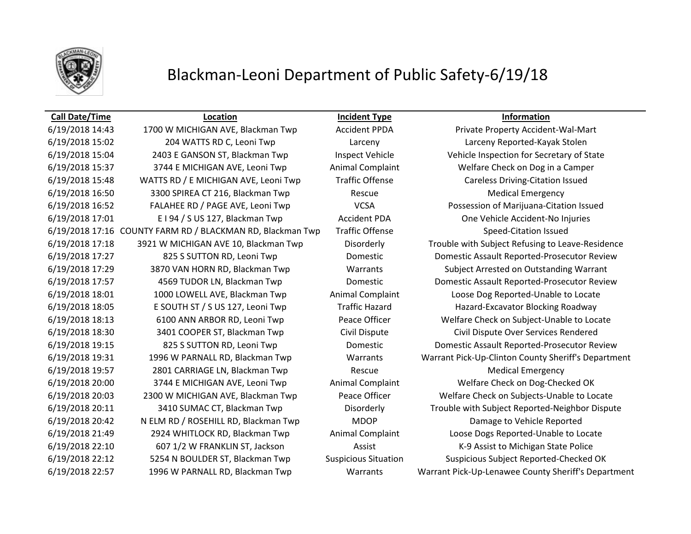

## Blackman-Leoni Department of Public Safety-6/19/18

6/19/2018 14:43 1700 W MICHIGAN AVE, Blackman Twp Accident PPDA Private Property Accident-Wal-Mart 6/19/2018 15:02 204 WATTS RD C, Leoni Twp Larceny Larceny Reported-Kayak Stolen 6/19/2018 15:37 3744 E MICHIGAN AVE, Leoni Twp Animal Complaint Welfare Check on Dog in a Camper 6/19/2018 15:48 WATTS RD / E MICHIGAN AVE, Leoni Twp Traffic Offense Careless Driving-Citation Issued 6/19/2018 16:50 3300 SPIREA CT 216, Blackman Twp Rescue Rescue Medical Emergency 6/19/2018 17:01 E I 94 / S US 127, Blackman Twp Accident PDA One Vehicle Accident-No Injuries 6/19/2018 17:16 COUNTY FARM RD / BLACKMAN RD, Blackman Twp Traffic Offense Speed-Citation Issued 6/19/2018 18:05 E SOUTH ST / S US 127, Leoni Twp Traffic Hazard Hazard Hazard-Excavator Blocking Roadway 6/19/2018 18:30 3401 COOPER ST, Blackman Twp Civil Dispute Civil Dispute Over Services Rendered 6/19/2018 19:57 2801 CARRIAGE LN, Blackman Twp Rescue Rescue Medical Emergency 6/19/2018 20:00 3744 E MICHIGAN AVE, Leoni Twp Animal Complaint Welfare Check on Dog-Checked OK 6/19/2018 20:42 N ELM RD / ROSEHILL RD, Blackman Twp MDOP Damage to Vehicle Reported 6/19/2018 22:10 607 1/2 W FRANKLIN ST, Jackson Assist Assist K-9 Assist to Michigan State Police

**Call Date/Time Location Incident Type Information**

6/19/2018 15:04 2403 E GANSON ST, Blackman Twp Inspect Vehicle Vehicle Vehicle Inspection for Secretary of State 6/19/2018 16:52 FALAHEE RD / PAGE AVE, Leoni Twp VCSA Possession of Marijuana-Citation Issued 6/19/2018 17:18 3921 W MICHIGAN AVE 10, Blackman Twp Disorderly Trouble with Subject Refusing to Leave-Residence 6/19/2018 17:27 825 S SUTTON RD, Leoni Twp Domestic Domestic Domestic Assault Reported-Prosecutor Review 6/19/2018 17:29 3870 VAN HORN RD, Blackman Twp Warrants Subject Arrested on Outstanding Warrant 6/19/2018 17:57 4569 TUDOR LN, Blackman Twp Domestic Domestic Assault Reported-Prosecutor Review 6/19/2018 18:01 1000 LOWELL AVE, Blackman Twp Animal Complaint Loose Dog Reported-Unable to Locate 6/19/2018 18:13 6100 ANN ARBOR RD, Leoni Twp Peace Officer Welfare Check on Subject-Unable to Locate 6/19/2018 19:15 825 S SUTTON RD, Leoni Twp Domestic Domestic Assault Reported-Prosecutor Review 6/19/2018 19:31 1996 W PARNALL RD, Blackman Twp Warrants Warrant Pick-Up-Clinton County Sheriff's Department 6/19/2018 20:03 2300 W MICHIGAN AVE, Blackman Twp Peace Officer Welfare Check on Subjects-Unable to Locate 6/19/2018 20:11 3410 SUMAC CT, Blackman Twp Disorderly Trouble with Subject Reported-Neighbor Dispute 6/19/2018 21:49 2924 WHITLOCK RD, Blackman Twp Animal Complaint Loose Dogs Reported-Unable to Locate 6/19/2018 22:12 5254 N BOULDER ST, Blackman Twp Suspicious Situation Suspicious Subject Reported-Checked OK 6/19/2018 22:57 1996 W PARNALL RD, Blackman Twp Warrants Warrant Pick-Up-Lenawee County Sheriff's Department